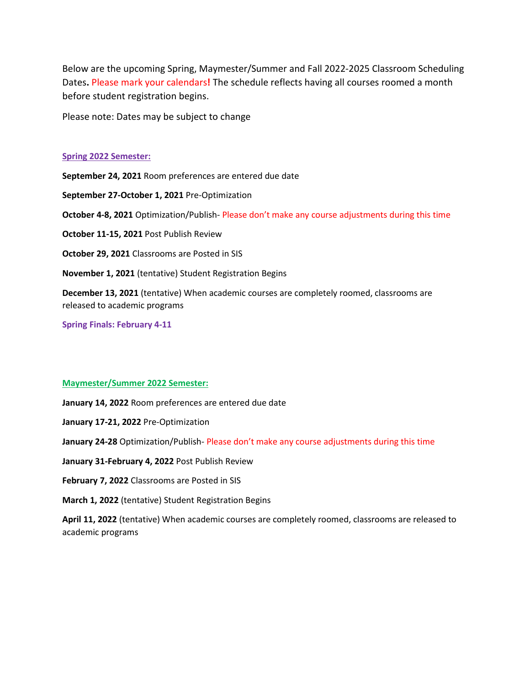Below are the upcoming Spring, Maymester/Summer and Fall 2022-2025 Classroom Scheduling Dates**.** Please mark your calendars**!** The schedule reflects having all courses roomed a month before student registration begins.

Please note: Dates may be subject to change

#### **Spring 2022 Semester:**

**September 24, 2021** Room preferences are entered due date **September 27-October 1, 2021** Pre-Optimization **October 4-8, 2021** Optimization/Publish- Please don't make any course adjustments during this time **October 11-15, 2021** Post Publish Review **October 29, 2021** Classrooms are Posted in SIS **November 1, 2021** (tentative) Student Registration Begins **December 13, 2021** (tentative) When academic courses are completely roomed, classrooms are released to academic programs

**Spring Finals: February 4-11**

### **Maymester/Summer 2022 Semester:**

**January 14, 2022** Room preferences are entered due date

**January 17-21, 2022** Pre-Optimization

**January 24-28** Optimization/Publish- Please don't make any course adjustments during this time

**January 31-February 4, 2022** Post Publish Review

**February 7, 2022** Classrooms are Posted in SIS

**March 1, 2022** (tentative) Student Registration Begins

**April 11, 2022** (tentative) When academic courses are completely roomed, classrooms are released to academic programs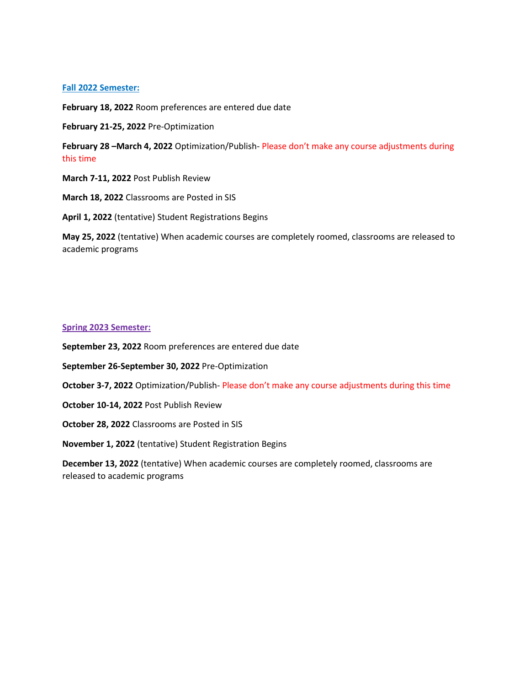# **Fall 2022 Semester:**

**February 18, 2022** Room preferences are entered due date

**February 21-25, 2022** Pre-Optimization

**February 28 –March 4, 2022** Optimization/Publish- Please don't make any course adjustments during this time

**March 7-11, 2022** Post Publish Review

**March 18, 2022** Classrooms are Posted in SIS

**April 1, 2022** (tentative) Student Registrations Begins

**May 25, 2022** (tentative) When academic courses are completely roomed, classrooms are released to academic programs

#### **Spring 2023 Semester:**

**September 23, 2022** Room preferences are entered due date

- **September 26-September 30, 2022** Pre-Optimization
- **October 3-7, 2022** Optimization/Publish- Please don't make any course adjustments during this time
- **October 10-14, 2022** Post Publish Review
- **October 28, 2022** Classrooms are Posted in SIS

**November 1, 2022** (tentative) Student Registration Begins

**December 13, 2022** (tentative) When academic courses are completely roomed, classrooms are released to academic programs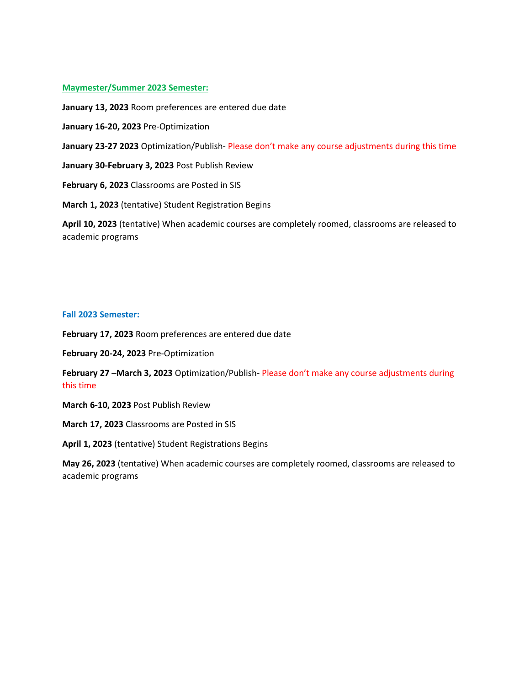# **Maymester/Summer 2023 Semester:**

**January 13, 2023** Room preferences are entered due date

**January 16-20, 2023** Pre-Optimization

**January 23-27 2023** Optimization/Publish- Please don't make any course adjustments during this time

**January 30-February 3, 2023** Post Publish Review

**February 6, 2023** Classrooms are Posted in SIS

**March 1, 2023** (tentative) Student Registration Begins

**April 10, 2023** (tentative) When academic courses are completely roomed, classrooms are released to academic programs

### **Fall 2023 Semester:**

**February 17, 2023** Room preferences are entered due date

**February 20-24, 2023** Pre-Optimization

**February 27 –March 3, 2023** Optimization/Publish- Please don't make any course adjustments during this time

**March 6-10, 2023** Post Publish Review

**March 17, 2023** Classrooms are Posted in SIS

**April 1, 2023** (tentative) Student Registrations Begins

**May 26, 2023** (tentative) When academic courses are completely roomed, classrooms are released to academic programs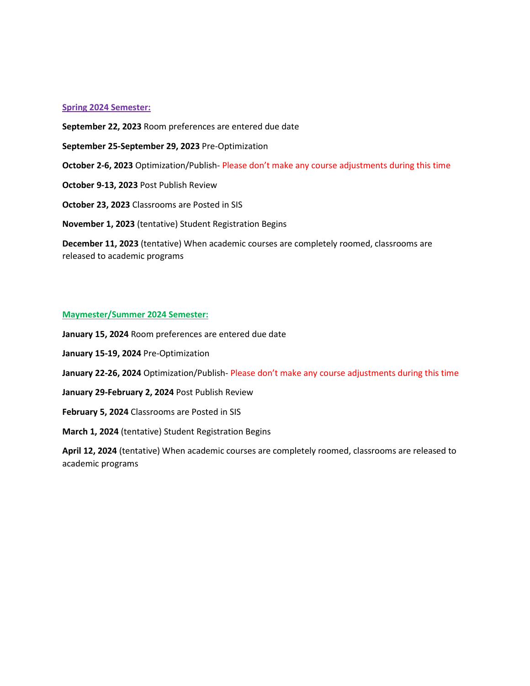### **Spring 2024 Semester:**

**September 22, 2023** Room preferences are entered due date

- **September 25-September 29, 2023** Pre-Optimization
- **October 2-6, 2023** Optimization/Publish- Please don't make any course adjustments during this time
- **October 9-13, 2023** Post Publish Review

**October 23, 2023** Classrooms are Posted in SIS

**November 1, 2023** (tentative) Student Registration Begins

**December 11, 2023** (tentative) When academic courses are completely roomed, classrooms are released to academic programs

### **Maymester/Summer 2024 Semester:**

**January 15, 2024** Room preferences are entered due date

- **January 15-19, 2024** Pre-Optimization
- **January 22-26, 2024** Optimization/Publish- Please don't make any course adjustments during this time
- **January 29-February 2, 2024** Post Publish Review
- **February 5, 2024** Classrooms are Posted in SIS

**March 1, 2024** (tentative) Student Registration Begins

**April 12, 2024** (tentative) When academic courses are completely roomed, classrooms are released to academic programs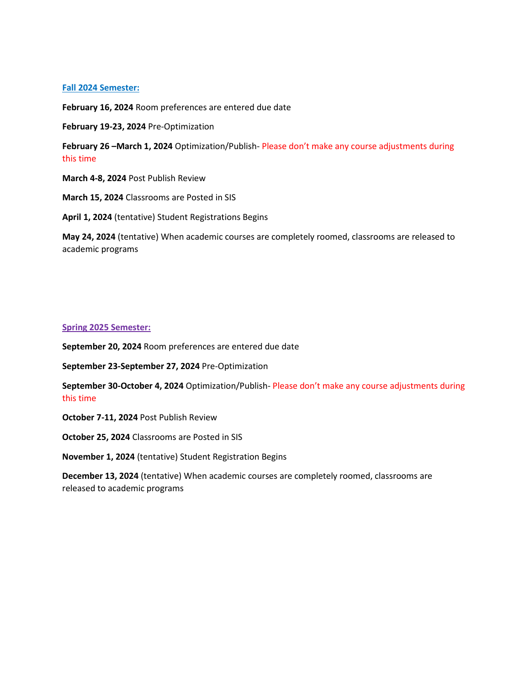# **Fall 2024 Semester:**

**February 16, 2024** Room preferences are entered due date

**February 19-23, 2024** Pre-Optimization

**February 26 –March 1, 2024** Optimization/Publish- Please don't make any course adjustments during this time

**March 4-8, 2024** Post Publish Review

**March 15, 2024** Classrooms are Posted in SIS

**April 1, 2024** (tentative) Student Registrations Begins

**May 24, 2024** (tentative) When academic courses are completely roomed, classrooms are released to academic programs

#### **Spring 2025 Semester:**

**September 20, 2024** Room preferences are entered due date

**September 23-September 27, 2024** Pre-Optimization

**September 30-October 4, 2024** Optimization/Publish- Please don't make any course adjustments during this time

**October 7-11, 2024** Post Publish Review

**October 25, 2024** Classrooms are Posted in SIS

**November 1, 2024** (tentative) Student Registration Begins

**December 13, 2024** (tentative) When academic courses are completely roomed, classrooms are released to academic programs